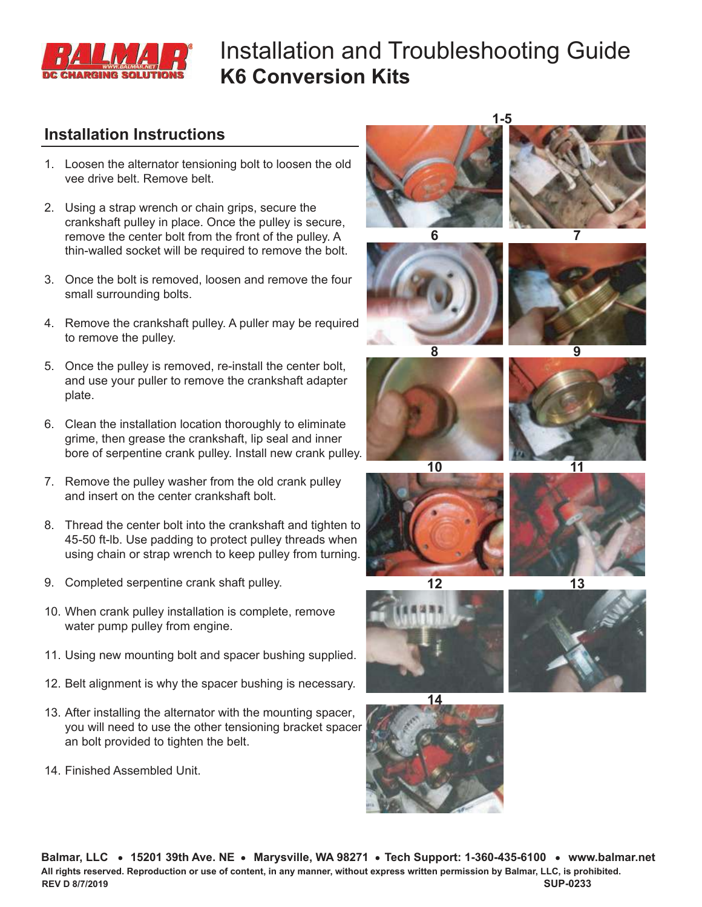

# Installation and Troubleshooting Guide **K6 Conversion Kits**

#### **Installation Instructions**

- 1. Loosen the alternator tensioning bolt to loosen the old vee drive belt. Remove belt.
- 2. Using a strap wrench or chain grips, secure the crankshaft pulley in place. Once the pulley is secure, remove the center bolt from the front of the pulley. A thin-walled socket will be required to remove the bolt.
- 3. Once the bolt is removed, loosen and remove the four small surrounding bolts.
- 4. Remove the crankshaft pulley. A puller may be required to remove the pulley.
- 5. Once the pulley is removed, re-install the center bolt, and use your puller to remove the crankshaft adapter plate.
- 6. Clean the installation location thoroughly to eliminate grime, then grease the crankshaft, lip seal and inner bore of serpentine crank pulley. Install new crank pulley.
- 7. Remove the pulley washer from the old crank pulley and insert on the center crankshaft bolt.
- 8. Thread the center bolt into the crankshaft and tighten to 45-50 ft-lb. Use padding to protect pulley threads when using chain or strap wrench to keep pulley from turning.
- 9. Completed serpentine crank shaft pulley.
- 10. When crank pulley installation is complete, remove water pump pulley from engine.
- 11. Using new mounting bolt and spacer bushing supplied.
- 12. Belt alignment is why the spacer bushing is necessary.
- 13. After installing the alternator with the mounting spacer, you will need to use the other tensioning bracket spacer an bolt provided to tighten the belt.
- 14. Finished Assembled Unit.

**6 7 1-5**























Balmar, LLC • 15201 39th Ave. NE • Marysville, WA 98271 • Tech Support: 1-360-435-6100 • www.balmar.net **All rights reserved. Reproduction or use of content, in any manner, without express written permission by Balmar, LLC, is prohibited. SUP-0233 REV D 8/7/2019**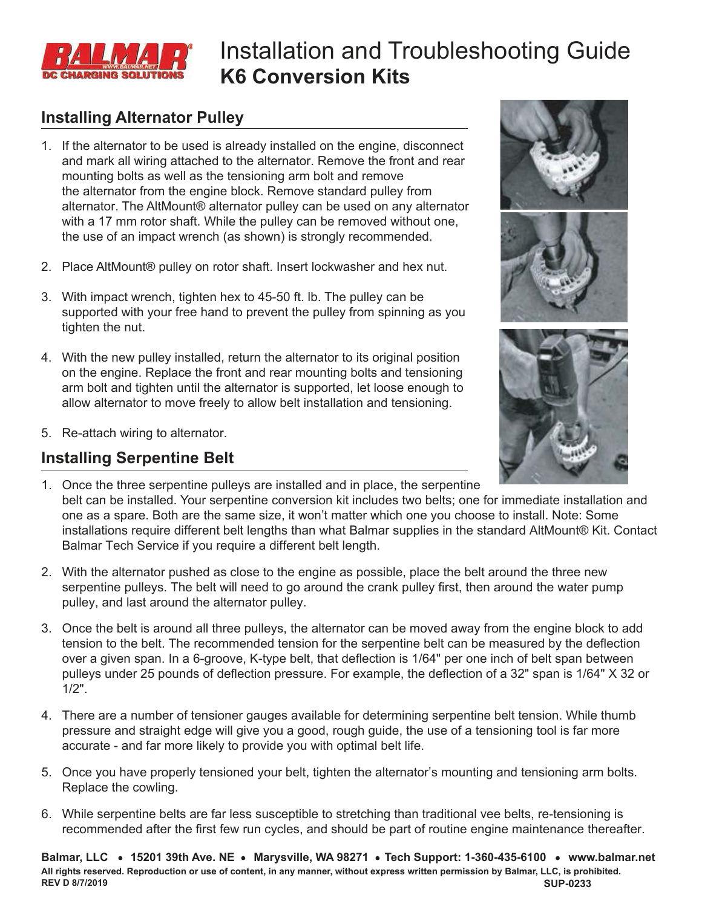

# Installation and Troubleshooting Guide **K6 Conversion Kits**

### **Installing Alternator Pulley**

- 1. If the alternator to be used is already installed on the engine, disconnect and mark all wiring attached to the alternator. Remove the front and rear mounting bolts as well as the tensioning arm bolt and remove the alternator from the engine block. Remove standard pulley from alternator. The AltMount® alternator pulley can be used on any alternator with a 17 mm rotor shaft. While the pulley can be removed without one, the use of an impact wrench (as shown) is strongly recommended.
- 2. Place AltMount® pulley on rotor shaft. Insert lockwasher and hex nut.
- 3. With impact wrench, tighten hex to 45-50 ft. lb. The pulley can be supported with your free hand to prevent the pulley from spinning as you tighten the nut.
- 4. With the new pulley installed, return the alternator to its original position on the engine. Replace the front and rear mounting bolts and tensioning arm bolt and tighten until the alternator is supported, let loose enough to allow alternator to move freely to allow belt installation and tensioning.
- 5. Re-attach wiring to alternator.

### **Installing Serpentine Belt**







- 1. Once the three serpentine pulleys are installed and in place, the serpentine belt can be installed. Your serpentine conversion kit includes two belts; one for immediate installation and one as a spare. Both are the same size, it won't matter which one you choose to install. Note: Some installations require different belt lengths than what Balmar supplies in the standard AltMount® Kit. Contact Balmar Tech Service if you require a different belt length.
- 2. With the alternator pushed as close to the engine as possible, place the belt around the three new serpentine pulleys. The belt will need to go around the crank pulley first, then around the water pump pulley, and last around the alternator pulley.
- 3. Once the belt is around all three pulleys, the alternator can be moved away from the engine block to add tension to the belt. The recommended tension for the serpentine belt can be measured by the deflection over a given span. In a 6-groove, K-type belt, that deflection is 1/64" per one inch of belt span between pulleys under 25 pounds of deflection pressure. For example, the deflection of a 32" span is 1/64" X 32 or 1/2".
- 4. There are a number of tensioner gauges available for determining serpentine belt tension. While thumb pressure and straight edge will give you a good, rough guide, the use of a tensioning tool is far more accurate - and far more likely to provide you with optimal belt life.
- 5. Once you have properly tensioned your belt, tighten the alternator's mounting and tensioning arm bolts. Replace the cowling.
- 6. While serpentine belts are far less susceptible to stretching than traditional vee belts, re-tensioning is recommended after the first few run cycles, and should be part of routine engine maintenance thereafter.

Balmar, LLC . 15201 39th Ave. NE . Marysville, WA 98271 . Tech Support: 1-360-435-6100 . www.balmar.net **All rights reserved. Reproduction or use of content, in any manner, without express written permission by Balmar, LLC, is prohibited. SUP-0233 REV D 8/7/2019**